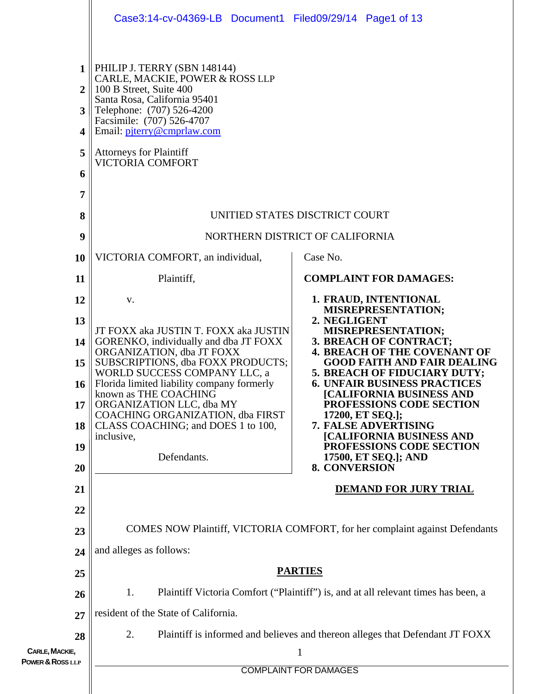|                                                                                            | Case3:14-cv-04369-LB Document1 Filed09/29/14 Page1 of 13                                                                                                                                                                                                                        |                                                                                    |  |  |  |  |  |
|--------------------------------------------------------------------------------------------|---------------------------------------------------------------------------------------------------------------------------------------------------------------------------------------------------------------------------------------------------------------------------------|------------------------------------------------------------------------------------|--|--|--|--|--|
| $\mathbf{1}$<br>$\overline{2}$<br>3<br>$\overline{\mathbf{4}}$<br>5<br>6<br>$\overline{7}$ | PHILIP J. TERRY (SBN 148144)<br>CARLE, MACKIE, POWER & ROSS LLP<br>100 B Street, Suite 400<br>Santa Rosa, California 95401<br>Telephone: (707) 526-4200<br>Facsimile: (707) 526-4707<br>Email: piterry@cmprlaw.com<br><b>Attorneys for Plaintiff</b><br><b>VICTORIA COMFORT</b> |                                                                                    |  |  |  |  |  |
| 8                                                                                          | UNITIED STATES DISCTRICT COURT                                                                                                                                                                                                                                                  |                                                                                    |  |  |  |  |  |
| 9                                                                                          | NORTHERN DISTRICT OF CALIFORNIA                                                                                                                                                                                                                                                 |                                                                                    |  |  |  |  |  |
| 10                                                                                         | VICTORIA COMFORT, an individual,                                                                                                                                                                                                                                                | Case No.                                                                           |  |  |  |  |  |
| 11                                                                                         | Plaintiff,                                                                                                                                                                                                                                                                      | <b>COMPLAINT FOR DAMAGES:</b>                                                      |  |  |  |  |  |
| 12                                                                                         | V.                                                                                                                                                                                                                                                                              | 1. FRAUD, INTENTIONAL<br><b>MISREPRESENTATION;</b>                                 |  |  |  |  |  |
| 13                                                                                         | 2. NEGLIGENT<br>JT FOXX aka JUSTIN T. FOXX aka JUSTIN<br>MISREPRESENTATION;<br>3. BREACH OF CONTRACT;<br>GORENKO, individually and dba JT FOXX<br>ORGANIZATION, dba JT FOXX<br><b>4. BREACH OF THE COVENANT OF</b>                                                              |                                                                                    |  |  |  |  |  |
| 14                                                                                         |                                                                                                                                                                                                                                                                                 |                                                                                    |  |  |  |  |  |
| 15                                                                                         | SUBSCRIPTIONS, dba FOXX PRODUCTS;<br><b>GOOD FAITH AND FAIR DEALING</b><br>WORLD SUCCESS COMPANY LLC, a<br>5. BREACH OF FIDUCIARY DUTY;                                                                                                                                         |                                                                                    |  |  |  |  |  |
| 16                                                                                         | Florida limited liability company formerly<br><b>6. UNFAIR BUSINESS PRACTICES</b><br>known as THE COACHING<br><b>[CALIFORNIA BUSINESS AND</b>                                                                                                                                   |                                                                                    |  |  |  |  |  |
| 17                                                                                         | ORGANIZATION LLC, dba MY<br><b>COACHING ORGANIZATION, dba FIRST</b>                                                                                                                                                                                                             | <b>PROFESSIONS CODE SECTION</b><br>17200, ET SEQ.];                                |  |  |  |  |  |
| 18                                                                                         | CLASS COACHING; and DOES 1 to 100,<br>inclusive,                                                                                                                                                                                                                                | 7. FALSE ADVERTISING<br><b>[CALIFORNIA BUSINESS AND</b>                            |  |  |  |  |  |
| 19                                                                                         | Defendants.                                                                                                                                                                                                                                                                     | <b>PROFESSIONS CODE SECTION</b><br>17500, ET SEQ.]; AND                            |  |  |  |  |  |
| 20                                                                                         | <b>8. CONVERSION</b>                                                                                                                                                                                                                                                            |                                                                                    |  |  |  |  |  |
| 21                                                                                         | <b>DEMAND FOR JURY TRIAL</b>                                                                                                                                                                                                                                                    |                                                                                    |  |  |  |  |  |
| 22                                                                                         |                                                                                                                                                                                                                                                                                 |                                                                                    |  |  |  |  |  |
| 23                                                                                         | COMES NOW Plaintiff, VICTORIA COMFORT, for her complaint against Defendants                                                                                                                                                                                                     |                                                                                    |  |  |  |  |  |
| 24                                                                                         | and alleges as follows:                                                                                                                                                                                                                                                         |                                                                                    |  |  |  |  |  |
| 25                                                                                         | <b>PARTIES</b>                                                                                                                                                                                                                                                                  |                                                                                    |  |  |  |  |  |
| 26                                                                                         | Plaintiff Victoria Comfort ("Plaintiff") is, and at all relevant times has been, a<br>1.                                                                                                                                                                                        |                                                                                    |  |  |  |  |  |
| 27                                                                                         | resident of the State of California.                                                                                                                                                                                                                                            |                                                                                    |  |  |  |  |  |
| 28<br>CARLE, MACKIE,                                                                       | 2.                                                                                                                                                                                                                                                                              | Plaintiff is informed and believes and thereon alleges that Defendant JT FOXX<br>1 |  |  |  |  |  |
| POWER & ROSS LLP                                                                           | <b>COMPLAINT FOR DAMAGES</b>                                                                                                                                                                                                                                                    |                                                                                    |  |  |  |  |  |
|                                                                                            |                                                                                                                                                                                                                                                                                 |                                                                                    |  |  |  |  |  |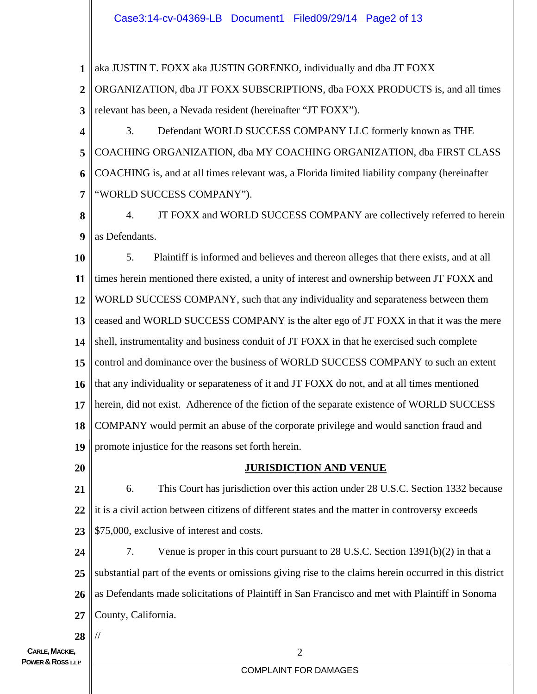## Case3:14-cv-04369-LB Document1 Filed09/29/14 Page2 of 13

**1** aka JUSTIN T. FOXX aka JUSTIN GORENKO, individually and dba JT FOXX

**2 3** ORGANIZATION, dba JT FOXX SUBSCRIPTIONS, dba FOXX PRODUCTS is, and all times relevant has been, a Nevada resident (hereinafter "JT FOXX").

**4 5 6 7** 3. Defendant WORLD SUCCESS COMPANY LLC formerly known as THE COACHING ORGANIZATION, dba MY COACHING ORGANIZATION, dba FIRST CLASS COACHING is, and at all times relevant was, a Florida limited liability company (hereinafter "WORLD SUCCESS COMPANY").

**8 9** 4. JT FOXX and WORLD SUCCESS COMPANY are collectively referred to herein as Defendants.

**10 11 12 13 14 15 16 17 18 19** 5. Plaintiff is informed and believes and thereon alleges that there exists, and at all times herein mentioned there existed, a unity of interest and ownership between JT FOXX and WORLD SUCCESS COMPANY, such that any individuality and separateness between them ceased and WORLD SUCCESS COMPANY is the alter ego of JT FOXX in that it was the mere shell, instrumentality and business conduit of JT FOXX in that he exercised such complete control and dominance over the business of WORLD SUCCESS COMPANY to such an extent that any individuality or separateness of it and JT FOXX do not, and at all times mentioned herein, did not exist. Adherence of the fiction of the separate existence of WORLD SUCCESS COMPANY would permit an abuse of the corporate privilege and would sanction fraud and promote injustice for the reasons set forth herein.

**20**

#### **JURISDICTION AND VENUE**

**21 22 23** 6. This Court has jurisdiction over this action under 28 U.S.C. Section 1332 because it is a civil action between citizens of different states and the matter in controversy exceeds \$75,000, exclusive of interest and costs.

**24 25 26 27** 7. Venue is proper in this court pursuant to 28 U.S.C. Section 1391(b)(2) in that a substantial part of the events or omissions giving rise to the claims herein occurred in this district as Defendants made solicitations of Plaintiff in San Francisco and met with Plaintiff in Sonoma County, California.

**28** //

#### COMPLAINT FOR DAMAGES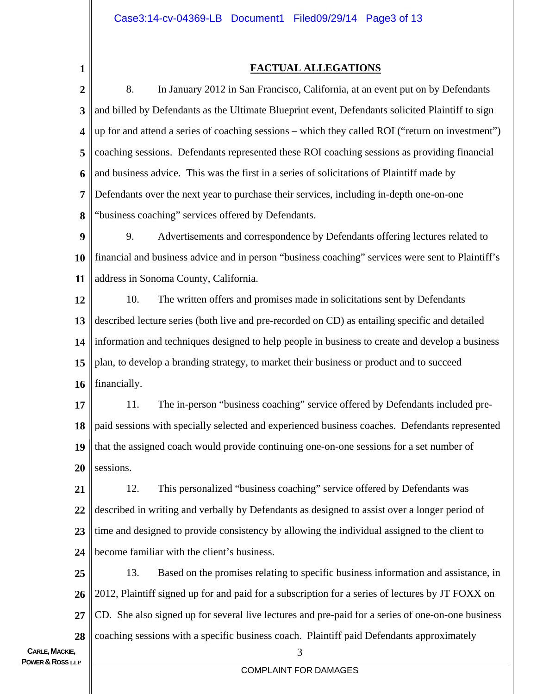**1**

### **FACTUAL ALLEGATIONS**

**2 3 4 5 6 7 8** 8. In January 2012 in San Francisco, California, at an event put on by Defendants and billed by Defendants as the Ultimate Blueprint event, Defendants solicited Plaintiff to sign up for and attend a series of coaching sessions – which they called ROI ("return on investment") coaching sessions. Defendants represented these ROI coaching sessions as providing financial and business advice. This was the first in a series of solicitations of Plaintiff made by Defendants over the next year to purchase their services, including in-depth one-on-one "business coaching" services offered by Defendants.

**9 10 11** 9. Advertisements and correspondence by Defendants offering lectures related to financial and business advice and in person "business coaching" services were sent to Plaintiff's address in Sonoma County, California.

**12 13 14 15 16** 10. The written offers and promises made in solicitations sent by Defendants described lecture series (both live and pre-recorded on CD) as entailing specific and detailed information and techniques designed to help people in business to create and develop a business plan, to develop a branding strategy, to market their business or product and to succeed financially.

**17 18 19 20** 11. The in-person "business coaching" service offered by Defendants included prepaid sessions with specially selected and experienced business coaches. Defendants represented that the assigned coach would provide continuing one-on-one sessions for a set number of sessions.

**21 22 23 24** 12. This personalized "business coaching" service offered by Defendants was described in writing and verbally by Defendants as designed to assist over a longer period of time and designed to provide consistency by allowing the individual assigned to the client to become familiar with the client's business.

**25 26 27 28** 13. Based on the promises relating to specific business information and assistance, in 2012, Plaintiff signed up for and paid for a subscription for a series of lectures by JT FOXX on CD. She also signed up for several live lectures and pre-paid for a series of one-on-one business coaching sessions with a specific business coach. Plaintiff paid Defendants approximately

#### COMPLAINT FOR DAMAGES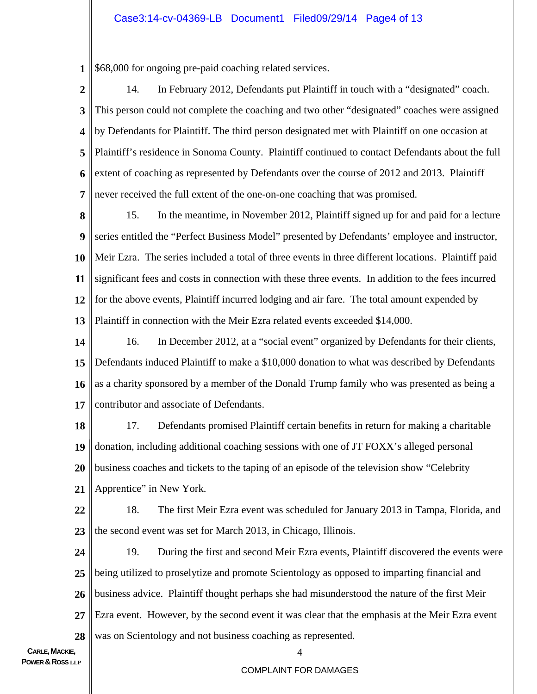### Case3:14-cv-04369-LB Document1 Filed09/29/14 Page4 of 13

**1** \$68,000 for ongoing pre-paid coaching related services.

- **2 3 4 5 6 7** 14. In February 2012, Defendants put Plaintiff in touch with a "designated" coach. This person could not complete the coaching and two other "designated" coaches were assigned by Defendants for Plaintiff. The third person designated met with Plaintiff on one occasion at Plaintiff's residence in Sonoma County. Plaintiff continued to contact Defendants about the full extent of coaching as represented by Defendants over the course of 2012 and 2013. Plaintiff never received the full extent of the one-on-one coaching that was promised.
- **8 9 10 11 12 13** 15. In the meantime, in November 2012, Plaintiff signed up for and paid for a lecture series entitled the "Perfect Business Model" presented by Defendants' employee and instructor, Meir Ezra. The series included a total of three events in three different locations. Plaintiff paid significant fees and costs in connection with these three events. In addition to the fees incurred for the above events, Plaintiff incurred lodging and air fare. The total amount expended by Plaintiff in connection with the Meir Ezra related events exceeded \$14,000.
- **14 15 16 17** 16. In December 2012, at a "social event" organized by Defendants for their clients, Defendants induced Plaintiff to make a \$10,000 donation to what was described by Defendants as a charity sponsored by a member of the Donald Trump family who was presented as being a contributor and associate of Defendants.
- **18 19 20 21** 17. Defendants promised Plaintiff certain benefits in return for making a charitable donation, including additional coaching sessions with one of JT FOXX's alleged personal business coaches and tickets to the taping of an episode of the television show "Celebrity Apprentice" in New York.
- **22 23** 18. The first Meir Ezra event was scheduled for January 2013 in Tampa, Florida, and the second event was set for March 2013, in Chicago, Illinois.
- **24 25 26 27 28** 19. During the first and second Meir Ezra events, Plaintiff discovered the events were being utilized to proselytize and promote Scientology as opposed to imparting financial and business advice. Plaintiff thought perhaps she had misunderstood the nature of the first Meir Ezra event. However, by the second event it was clear that the emphasis at the Meir Ezra event was on Scientology and not business coaching as represented.

#### COMPLAINT FOR DAMAGES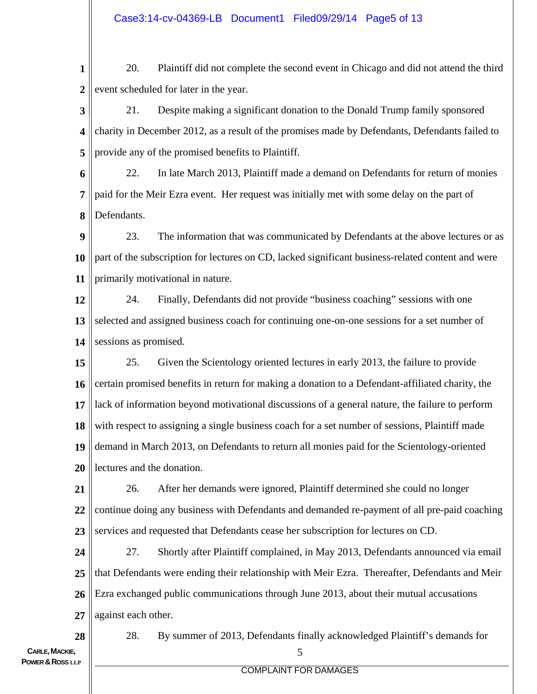**1 2** 20. Plaintiff did not complete the second event in Chicago and did not attend the third event scheduled for later in the year.

**3 4 5** 21. Despite making a significant donation to the Donald Trump family sponsored charity in December 2012, as a result of the promises made by Defendants, Defendants failed to provide any of the promised benefits to Plaintiff.

**6 7 8** 22. In late March 2013, Plaintiff made a demand on Defendants for return of monies paid for the Meir Ezra event. Her request was initially met with some delay on the part of Defendants.

**9 10 11** 23. The information that was communicated by Defendants at the above lectures or as part of the subscription for lectures on CD, lacked significant business-related content and were primarily motivational in nature.

**12 13 14** 24. Finally, Defendants did not provide "business coaching" sessions with one selected and assigned business coach for continuing one-on-one sessions for a set number of sessions as promised.

**15 16 17 18 19 20** 25. Given the Scientology oriented lectures in early 2013, the failure to provide certain promised benefits in return for making a donation to a Defendant-affiliated charity, the lack of information beyond motivational discussions of a general nature, the failure to perform with respect to assigning a single business coach for a set number of sessions, Plaintiff made demand in March 2013, on Defendants to return all monies paid for the Scientology-oriented lectures and the donation.

**21 22 23** 26. After her demands were ignored, Plaintiff determined she could no longer continue doing any business with Defendants and demanded re-payment of all pre-paid coaching services and requested that Defendants cease her subscription for lectures on CD.

**24 25 26 27** 27. Shortly after Plaintiff complained, in May 2013, Defendants announced via email that Defendants were ending their relationship with Meir Ezra. Thereafter, Defendants and Meir Ezra exchanged public communications through June 2013, about their mutual accusations against each other.

**CARLE, MACKIE. POWER & ROSS** LLP

**28**

28. By summer of 2013, Defendants finally acknowledged Plaintiff's demands for

## COMPLAINT FOR DAMAGES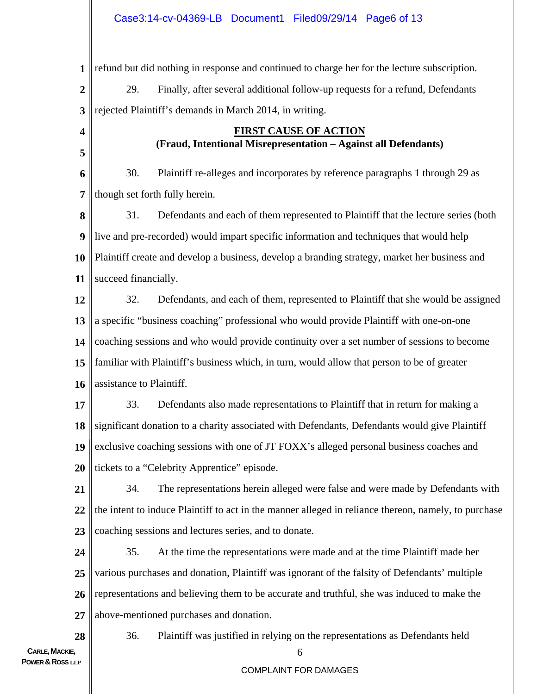**1 2 3** refund but did nothing in response and continued to charge her for the lecture subscription. 29. Finally, after several additional follow-up requests for a refund, Defendants rejected Plaintiff's demands in March 2014, in writing.

## **FIRST CAUSE OF ACTION (Fraud, Intentional Misrepresentation – Against all Defendants)**

**6 7** 30. Plaintiff re-alleges and incorporates by reference paragraphs 1 through 29 as though set forth fully herein.

**8 9 10 11** 31. Defendants and each of them represented to Plaintiff that the lecture series (both live and pre-recorded) would impart specific information and techniques that would help Plaintiff create and develop a business, develop a branding strategy, market her business and succeed financially.

**12 13 14 15 16** 32. Defendants, and each of them, represented to Plaintiff that she would be assigned a specific "business coaching" professional who would provide Plaintiff with one-on-one coaching sessions and who would provide continuity over a set number of sessions to become familiar with Plaintiff's business which, in turn, would allow that person to be of greater assistance to Plaintiff.

**17 18 19 20** 33. Defendants also made representations to Plaintiff that in return for making a significant donation to a charity associated with Defendants, Defendants would give Plaintiff exclusive coaching sessions with one of JT FOXX's alleged personal business coaches and tickets to a "Celebrity Apprentice" episode.

**21 22 23** 34. The representations herein alleged were false and were made by Defendants with the intent to induce Plaintiff to act in the manner alleged in reliance thereon, namely, to purchase coaching sessions and lectures series, and to donate.

**24 25 26 27** 35. At the time the representations were made and at the time Plaintiff made her various purchases and donation, Plaintiff was ignorant of the falsity of Defendants' multiple representations and believing them to be accurate and truthful, she was induced to make the above-mentioned purchases and donation.

> 6 36. Plaintiff was justified in relying on the representations as Defendants held

**28**

**4**

**5**

#### COMPLAINT FOR DAMAGES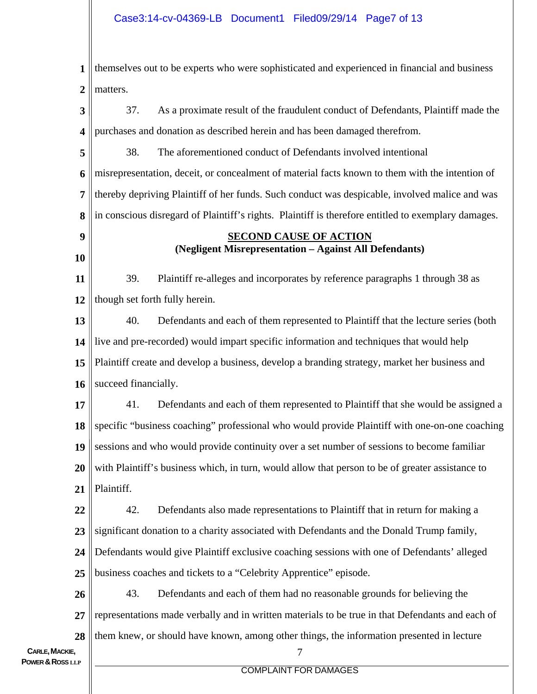**1 2** themselves out to be experts who were sophisticated and experienced in financial and business matters.

**3 4** 37. As a proximate result of the fraudulent conduct of Defendants, Plaintiff made the purchases and donation as described herein and has been damaged therefrom.

**5 6 7 8** 38. The aforementioned conduct of Defendants involved intentional misrepresentation, deceit, or concealment of material facts known to them with the intention of thereby depriving Plaintiff of her funds. Such conduct was despicable, involved malice and was in conscious disregard of Plaintiff's rights. Plaintiff is therefore entitled to exemplary damages.

# **9**

**10**

# **SECOND CAUSE OF ACTION (Negligent Misrepresentation – Against All Defendants)**

**11 12** 39. Plaintiff re-alleges and incorporates by reference paragraphs 1 through 38 as though set forth fully herein.

**13 14 15 16** 40. Defendants and each of them represented to Plaintiff that the lecture series (both live and pre-recorded) would impart specific information and techniques that would help Plaintiff create and develop a business, develop a branding strategy, market her business and succeed financially.

**17 18 19 20 21** 41. Defendants and each of them represented to Plaintiff that she would be assigned a specific "business coaching" professional who would provide Plaintiff with one-on-one coaching sessions and who would provide continuity over a set number of sessions to become familiar with Plaintiff's business which, in turn, would allow that person to be of greater assistance to Plaintiff.

**22 23** 42. Defendants also made representations to Plaintiff that in return for making a significant donation to a charity associated with Defendants and the Donald Trump family,

**24 25** Defendants would give Plaintiff exclusive coaching sessions with one of Defendants' alleged business coaches and tickets to a "Celebrity Apprentice" episode.

**26 27 28** 43. Defendants and each of them had no reasonable grounds for believing the representations made verbally and in written materials to be true in that Defendants and each of them knew, or should have known, among other things, the information presented in lecture

#### COMPLAINT FOR DAMAGES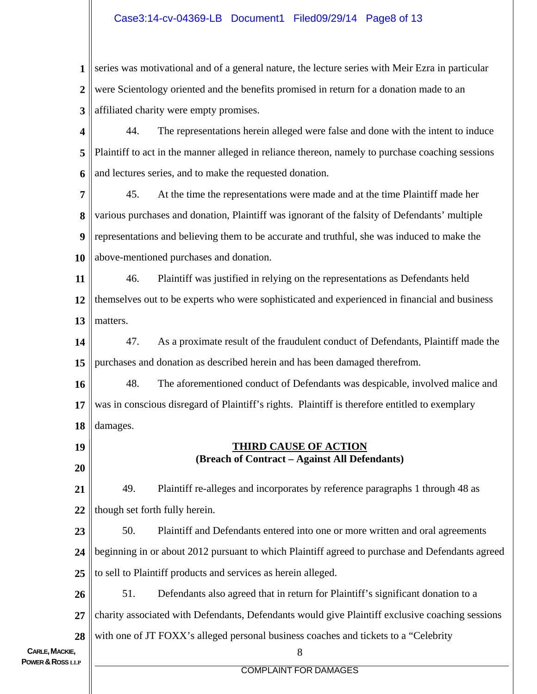## Case3:14-cv-04369-LB Document1 Filed09/29/14 Page8 of 13

**1 2 3** series was motivational and of a general nature, the lecture series with Meir Ezra in particular were Scientology oriented and the benefits promised in return for a donation made to an affiliated charity were empty promises.

**4 5 6** 44. The representations herein alleged were false and done with the intent to induce Plaintiff to act in the manner alleged in reliance thereon, namely to purchase coaching sessions and lectures series, and to make the requested donation.

**7 8 9 10** 45. At the time the representations were made and at the time Plaintiff made her various purchases and donation, Plaintiff was ignorant of the falsity of Defendants' multiple representations and believing them to be accurate and truthful, she was induced to make the above-mentioned purchases and donation.

**11 12 13** 46. Plaintiff was justified in relying on the representations as Defendants held themselves out to be experts who were sophisticated and experienced in financial and business matters.

**14 15** 47. As a proximate result of the fraudulent conduct of Defendants, Plaintiff made the purchases and donation as described herein and has been damaged therefrom.

**16 17 18** 48. The aforementioned conduct of Defendants was despicable, involved malice and was in conscious disregard of Plaintiff's rights. Plaintiff is therefore entitled to exemplary damages.

> **THIRD CAUSE OF ACTION (Breach of Contract – Against All Defendants)**

**21 22** 49. Plaintiff re-alleges and incorporates by reference paragraphs 1 through 48 as though set forth fully herein.

**23 24 25** 50. Plaintiff and Defendants entered into one or more written and oral agreements beginning in or about 2012 pursuant to which Plaintiff agreed to purchase and Defendants agreed to sell to Plaintiff products and services as herein alleged.

**26 27 28** 51. Defendants also agreed that in return for Plaintiff's significant donation to a charity associated with Defendants, Defendants would give Plaintiff exclusive coaching sessions with one of JT FOXX's alleged personal business coaches and tickets to a "Celebrity"

**CARLE, MACKIE. POWER & ROSS** LLP

**19**

**20**

COMPLAINT FOR DAMAGES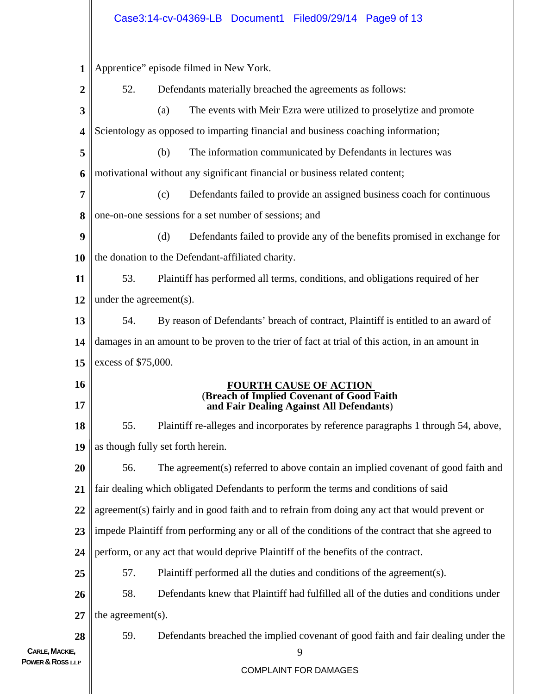# Case3:14-cv-04369-LB Document1 Filed09/29/14 Page9 of 13

| 1                                  | Apprentice" episode filmed in New York.                                                          |                        |  |  |  |  |
|------------------------------------|--------------------------------------------------------------------------------------------------|------------------------|--|--|--|--|
| 2                                  | 52.<br>Defendants materially breached the agreements as follows:                                 |                        |  |  |  |  |
| 3                                  | (a)<br>The events with Meir Ezra were utilized to proselytize and promote                        |                        |  |  |  |  |
| 4                                  | Scientology as opposed to imparting financial and business coaching information;                 |                        |  |  |  |  |
| 5                                  | The information communicated by Defendants in lectures was<br>(b)                                |                        |  |  |  |  |
| 6                                  | motivational without any significant financial or business related content;                      |                        |  |  |  |  |
| 7                                  | Defendants failed to provide an assigned business coach for continuous<br>(c)                    |                        |  |  |  |  |
| 8                                  | one-on-one sessions for a set number of sessions; and                                            |                        |  |  |  |  |
| 9                                  | (d)<br>Defendants failed to provide any of the benefits promised in exchange for                 |                        |  |  |  |  |
| 10                                 | the donation to the Defendant-affiliated charity.                                                |                        |  |  |  |  |
| 11                                 | 53.<br>Plaintiff has performed all terms, conditions, and obligations required of her            |                        |  |  |  |  |
| 12                                 | under the agreement(s).                                                                          |                        |  |  |  |  |
| 13                                 | 54.<br>By reason of Defendants' breach of contract, Plaintiff is entitled to an award of         |                        |  |  |  |  |
| 14                                 | damages in an amount to be proven to the trier of fact at trial of this action, in an amount in  |                        |  |  |  |  |
| 15                                 | excess of \$75,000.                                                                              |                        |  |  |  |  |
|                                    |                                                                                                  | FOURTH CAUSE OF ACTION |  |  |  |  |
| 16                                 |                                                                                                  |                        |  |  |  |  |
| 17                                 | (Breach of Implied Covenant of Good Faith<br>and Fair Dealing Against All Defendants)            |                        |  |  |  |  |
| 18                                 | 55.<br>Plaintiff re-alleges and incorporates by reference paragraphs 1 through 54, above,        |                        |  |  |  |  |
| 19                                 | as though fully set forth herein.                                                                |                        |  |  |  |  |
| 20                                 | 56.<br>The agreement(s) referred to above contain an implied covenant of good faith and          |                        |  |  |  |  |
| 21                                 | fair dealing which obligated Defendants to perform the terms and conditions of said              |                        |  |  |  |  |
| 22                                 | agreement(s) fairly and in good faith and to refrain from doing any act that would prevent or    |                        |  |  |  |  |
| 23                                 | impede Plaintiff from performing any or all of the conditions of the contract that she agreed to |                        |  |  |  |  |
| 24                                 | perform, or any act that would deprive Plaintiff of the benefits of the contract.                |                        |  |  |  |  |
| 25                                 | 57.<br>Plaintiff performed all the duties and conditions of the agreement(s).                    |                        |  |  |  |  |
| 26                                 | 58.<br>Defendants knew that Plaintiff had fulfilled all of the duties and conditions under       |                        |  |  |  |  |
| 27                                 | the agreement(s).                                                                                |                        |  |  |  |  |
| 28                                 | 59.<br>Defendants breached the implied covenant of good faith and fair dealing under the         |                        |  |  |  |  |
| CARLE, MACKIE,<br>POWER & ROSS LLP | 9<br><b>COMPLAINT FOR DAMAGES</b>                                                                |                        |  |  |  |  |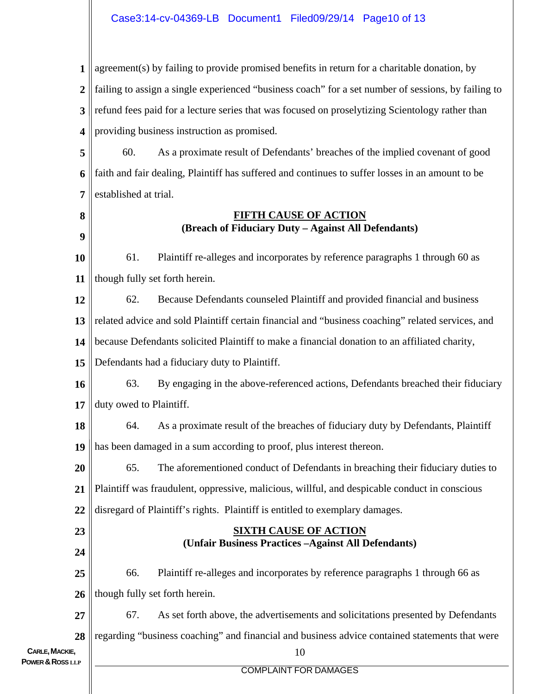## Case3:14-cv-04369-LB Document1 Filed09/29/14 Page10 of 13

**1 2 3 4 5 6 7 8 9 10 11 12 13 14 15 16 17 18 19 20 21 22 23 24 25 26 27** agreement(s) by failing to provide promised benefits in return for a charitable donation, by failing to assign a single experienced "business coach" for a set number of sessions, by failing to refund fees paid for a lecture series that was focused on proselytizing Scientology rather than providing business instruction as promised. 60. As a proximate result of Defendants' breaches of the implied covenant of good faith and fair dealing, Plaintiff has suffered and continues to suffer losses in an amount to be established at trial. **FIFTH CAUSE OF ACTION (Breach of Fiduciary Duty – Against All Defendants)** 61. Plaintiff re-alleges and incorporates by reference paragraphs 1 through 60 as though fully set forth herein. 62. Because Defendants counseled Plaintiff and provided financial and business related advice and sold Plaintiff certain financial and "business coaching" related services, and because Defendants solicited Plaintiff to make a financial donation to an affiliated charity, Defendants had a fiduciary duty to Plaintiff. 63. By engaging in the above-referenced actions, Defendants breached their fiduciary duty owed to Plaintiff. 64. As a proximate result of the breaches of fiduciary duty by Defendants, Plaintiff has been damaged in a sum according to proof, plus interest thereon. 65. The aforementioned conduct of Defendants in breaching their fiduciary duties to Plaintiff was fraudulent, oppressive, malicious, willful, and despicable conduct in conscious disregard of Plaintiff's rights. Plaintiff is entitled to exemplary damages. **SIXTH CAUSE OF ACTION (Unfair Business Practices –Against All Defendants)**  66. Plaintiff re-alleges and incorporates by reference paragraphs 1 through 66 as though fully set forth herein. 67. As set forth above, the advertisements and solicitations presented by Defendants

**CARLE, MACKIE. POWER & ROSS** LLP

**28**

#### COMPLAINT FOR DAMAGES

10

regarding "business coaching" and financial and business advice contained statements that were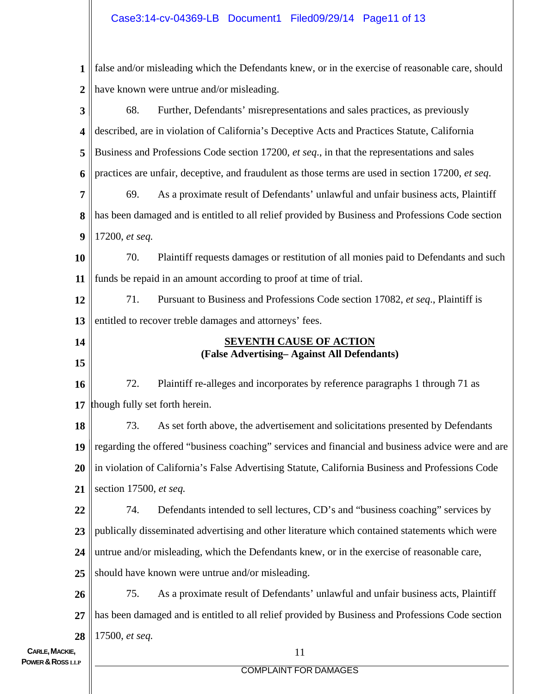## Case3:14-cv-04369-LB Document1 Filed09/29/14 Page11 of 13

**1 2 3 4 5 6 7 8 9 10 11 12 13 14 15 16 17 18 19 20 21 22 23 24 25 26 27 28** false and/or misleading which the Defendants knew, or in the exercise of reasonable care, should have known were untrue and/or misleading. 68. Further, Defendants' misrepresentations and sales practices, as previously described, are in violation of California's Deceptive Acts and Practices Statute, California Business and Professions Code section 17200, *et seq*., in that the representations and sales practices are unfair, deceptive, and fraudulent as those terms are used in section 17200, *et seq*. 69. As a proximate result of Defendants' unlawful and unfair business acts, Plaintiff has been damaged and is entitled to all relief provided by Business and Professions Code section 17200, *et seq.* 70. Plaintiff requests damages or restitution of all monies paid to Defendants and such funds be repaid in an amount according to proof at time of trial. 71. Pursuant to Business and Professions Code section 17082, *et seq*., Plaintiff is entitled to recover treble damages and attorneys' fees. **SEVENTH CAUSE OF ACTION (False Advertising– Against All Defendants)**  72. Plaintiff re-alleges and incorporates by reference paragraphs 1 through 71 as though fully set forth herein. 73. As set forth above, the advertisement and solicitations presented by Defendants regarding the offered "business coaching" services and financial and business advice were and are in violation of California's False Advertising Statute, California Business and Professions Code section 17500, *et seq.*  74. Defendants intended to sell lectures, CD's and "business coaching" services by publically disseminated advertising and other literature which contained statements which were untrue and/or misleading, which the Defendants knew, or in the exercise of reasonable care, should have known were untrue and/or misleading. 75. As a proximate result of Defendants' unlawful and unfair business acts, Plaintiff has been damaged and is entitled to all relief provided by Business and Professions Code section 17500, *et seq.*

**CARLE, MACKIE. POWER & ROSS** LLP

COMPLAINT FOR DAMAGES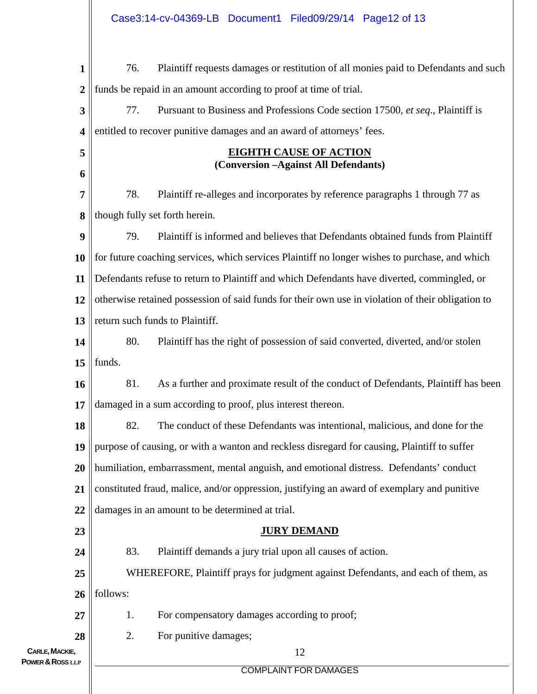| $\mathbf{1}$                       | 76.                                                                                               | Plaintiff requests damages or restitution of all monies paid to Defendants and such |  |  |  |  |  |
|------------------------------------|---------------------------------------------------------------------------------------------------|-------------------------------------------------------------------------------------|--|--|--|--|--|
| $\overline{2}$                     | funds be repaid in an amount according to proof at time of trial.                                 |                                                                                     |  |  |  |  |  |
| $\overline{\mathbf{3}}$            | 77.                                                                                               | Pursuant to Business and Professions Code section 17500, et seq., Plaintiff is      |  |  |  |  |  |
| 4                                  | entitled to recover punitive damages and an award of attorneys' fees.                             |                                                                                     |  |  |  |  |  |
| 5                                  | <b>EIGHTH CAUSE OF ACTION</b>                                                                     |                                                                                     |  |  |  |  |  |
| 6                                  | (Conversion -Against All Defendants)                                                              |                                                                                     |  |  |  |  |  |
| 7                                  | 78.                                                                                               | Plaintiff re-alleges and incorporates by reference paragraphs 1 through 77 as       |  |  |  |  |  |
| 8                                  | though fully set forth herein.                                                                    |                                                                                     |  |  |  |  |  |
| 9                                  | 79.                                                                                               | Plaintiff is informed and believes that Defendants obtained funds from Plaintiff    |  |  |  |  |  |
| <b>10</b>                          | for future coaching services, which services Plaintiff no longer wishes to purchase, and which    |                                                                                     |  |  |  |  |  |
| 11                                 | Defendants refuse to return to Plaintiff and which Defendants have diverted, commingled, or       |                                                                                     |  |  |  |  |  |
| 12                                 | otherwise retained possession of said funds for their own use in violation of their obligation to |                                                                                     |  |  |  |  |  |
| 13                                 | return such funds to Plaintiff.                                                                   |                                                                                     |  |  |  |  |  |
| 14                                 | 80.                                                                                               | Plaintiff has the right of possession of said converted, diverted, and/or stolen    |  |  |  |  |  |
| 15                                 | funds.                                                                                            |                                                                                     |  |  |  |  |  |
| 16                                 | 81.                                                                                               | As a further and proximate result of the conduct of Defendants, Plaintiff has been  |  |  |  |  |  |
| 17                                 | damaged in a sum according to proof, plus interest thereon.                                       |                                                                                     |  |  |  |  |  |
| 18                                 | 82.                                                                                               | The conduct of these Defendants was intentional, malicious, and done for the        |  |  |  |  |  |
| 19                                 | purpose of causing, or with a wanton and reckless disregard for causing, Plaintiff to suffer      |                                                                                     |  |  |  |  |  |
| 20                                 | humiliation, embarrassment, mental anguish, and emotional distress. Defendants' conduct           |                                                                                     |  |  |  |  |  |
| 21                                 | constituted fraud, malice, and/or oppression, justifying an award of exemplary and punitive       |                                                                                     |  |  |  |  |  |
| 22                                 | damages in an amount to be determined at trial.                                                   |                                                                                     |  |  |  |  |  |
| 23                                 | <b>JURY DEMAND</b>                                                                                |                                                                                     |  |  |  |  |  |
| 24                                 | 83.                                                                                               | Plaintiff demands a jury trial upon all causes of action.                           |  |  |  |  |  |
| 25                                 | WHEREFORE, Plaintiff prays for judgment against Defendants, and each of them, as                  |                                                                                     |  |  |  |  |  |
| 26                                 | follows:                                                                                          |                                                                                     |  |  |  |  |  |
| 27                                 | 1.                                                                                                | For compensatory damages according to proof;                                        |  |  |  |  |  |
| 28                                 | 2.                                                                                                | For punitive damages;                                                               |  |  |  |  |  |
| CARLE, MACKIE,<br>POWER & ROSS LLP | 12                                                                                                |                                                                                     |  |  |  |  |  |
|                                    |                                                                                                   | <b>COMPLAINT FOR DAMAGES</b>                                                        |  |  |  |  |  |
|                                    |                                                                                                   |                                                                                     |  |  |  |  |  |